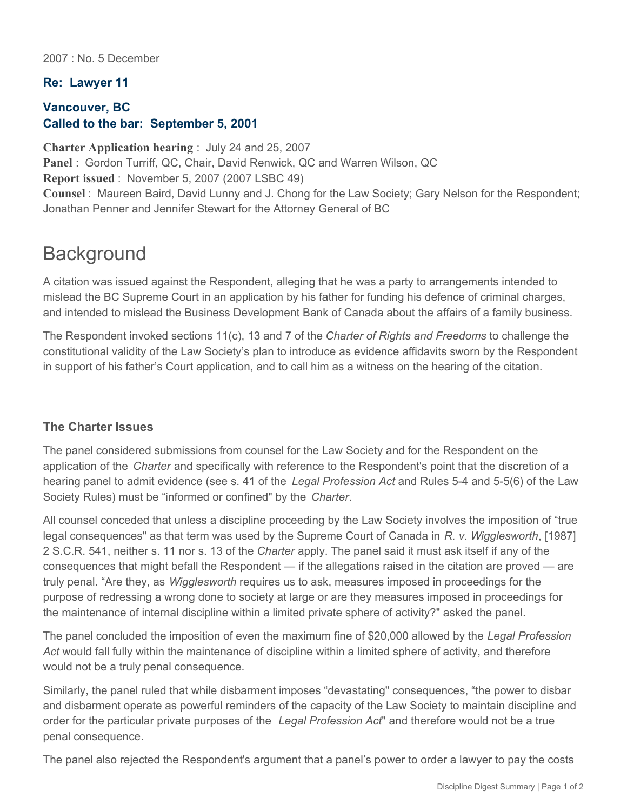2007 : No. 5 December

## **Re: Lawyer 11**

## **Vancouver, BC Called to the bar: September 5, 2001**

**Charter Application hearing** : July 24 and 25, 2007 **Panel** : Gordon Turriff, QC, Chair, David Renwick, QC and Warren Wilson, QC **Report issued** : November 5, 2007 (2007 LSBC 49) **Counsel** : Maureen Baird, David Lunny and J. Chong for the Law Society; Gary Nelson for the Respondent; Jonathan Penner and Jennifer Stewart for the Attorney General of BC

## **Background**

A citation was issued against the Respondent, alleging that he was a party to arrangements intended to mislead the BC Supreme Court in an application by his father for funding his defence of criminal charges, and intended to mislead the Business Development Bank of Canada about the affairs of a family business.

The Respondent invoked sections 11(c), 13 and 7 of the *Charter of Rights and Freedoms* to challenge the constitutional validity of the Law Society's plan to introduce as evidence affidavits sworn by the Respondent in support of his father's Court application, and to call him as a witness on the hearing of the citation.

## **The Charter Issues**

The panel considered submissions from counsel for the Law Society and for the Respondent on the application of the *Charter* and specifically with reference to the Respondent's point that the discretion of a hearing panel to admit evidence (see s. 41 of the *Legal Profession Act* and Rules 5-4 and 5-5(6) of the Law Society Rules) must be "informed or confined" by the *Charter*.

All counsel conceded that unless a discipline proceeding by the Law Society involves the imposition of "true legal consequences" as that term was used by the Supreme Court of Canada in *R. v. Wigglesworth*, [1987] 2 S.C.R. 541, neither s. 11 nor s. 13 of the *Charter* apply. The panel said it must ask itself if any of the consequences that might befall the Respondent — if the allegations raised in the citation are proved — are truly penal. "Are they, as *Wigglesworth* requires us to ask, measures imposed in proceedings for the purpose of redressing a wrong done to society at large or are they measures imposed in proceedings for the maintenance of internal discipline within a limited private sphere of activity?" asked the panel.

The panel concluded the imposition of even the maximum fine of \$20,000 allowed by the *Legal Profession Act* would fall fully within the maintenance of discipline within a limited sphere of activity, and therefore would not be a truly penal consequence.

Similarly, the panel ruled that while disbarment imposes "devastating" consequences, "the power to disbar and disbarment operate as powerful reminders of the capacity of the Law Society to maintain discipline and order for the particular private purposes of the *Legal Profession Act*" and therefore would not be a true penal consequence.

The panel also rejected the Respondent's argument that a panel's power to order a lawyer to pay the costs